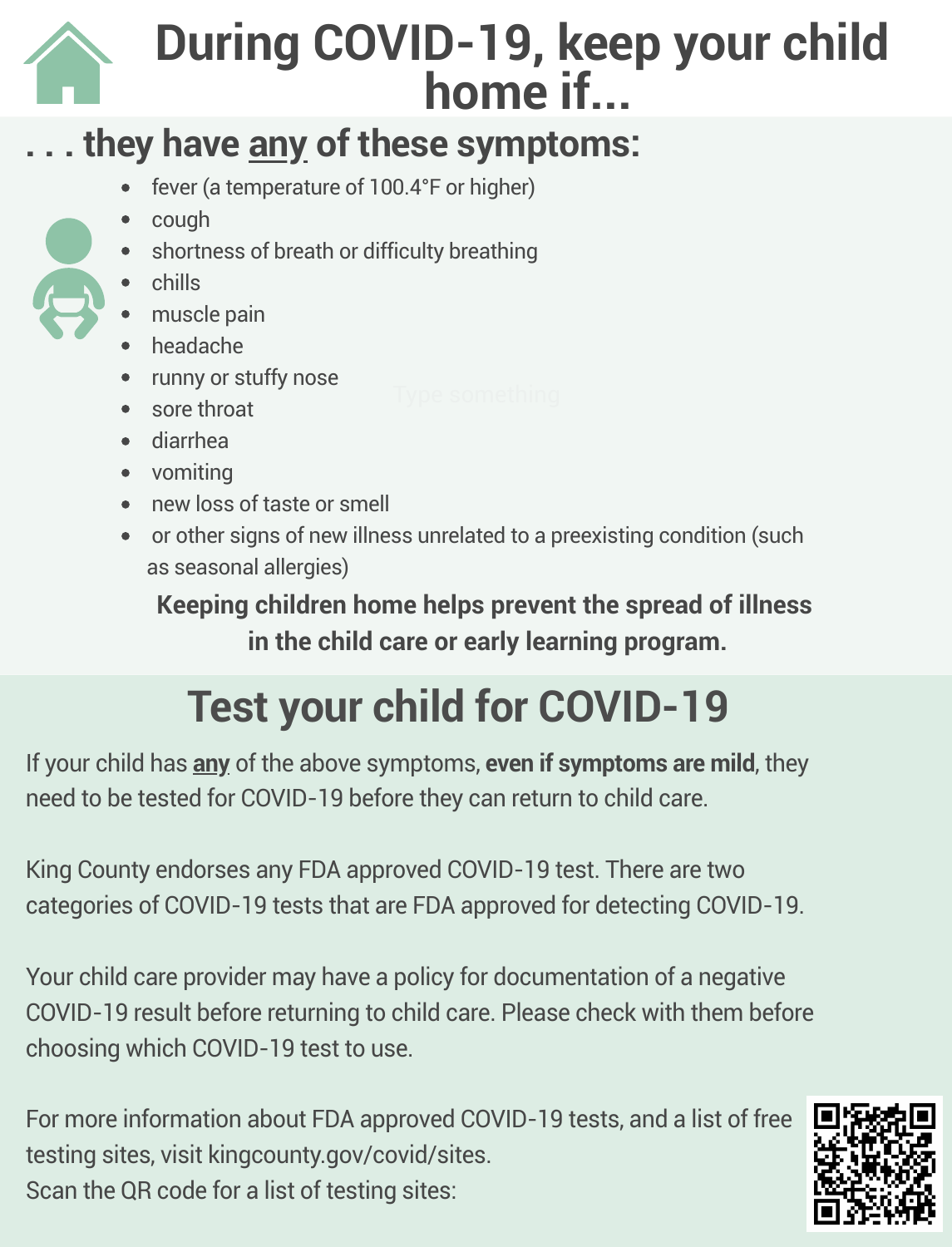## **During COVID-19, keep your child home if...**

### **. . . they have any of these symptoms:**

- fever (a temperature of 100.4°F or higher)
- cough
- T. shortness of breath or difficulty breathing
- ÷, chills
- muscle pain
- headache
- runny or stuffy nose
- sore throat
- diarrhea
- T. vomiting
- ÷, new loss of taste or smell
- or other signs of new illness unrelated to a preexisting condition (such as seasonal allergies)

**Keeping children home helps prevent the spread of illness in the child care or early learning program.**

# **Test your child for COVID-19**

If your child has **any** of the above symptoms, **even if symptoms are mild**, they need to be tested for COVID-19 before they can return to child care.

King County endorses any FDA approved COVID-19 test. There are two categories of COVID-19 tests that are FDA approved for detecting COVID-19.

Your child care provider may have a policy for documentation of a negative COVID-19 result before returning to child care. Please check with them before choosing which COVID-19 test to use.

For more information about FDA approved COVID-19 tests, and a list of free testing sites, visit kingcounty.gov/covid/sites. Scan the QR code for a list of testing sites: